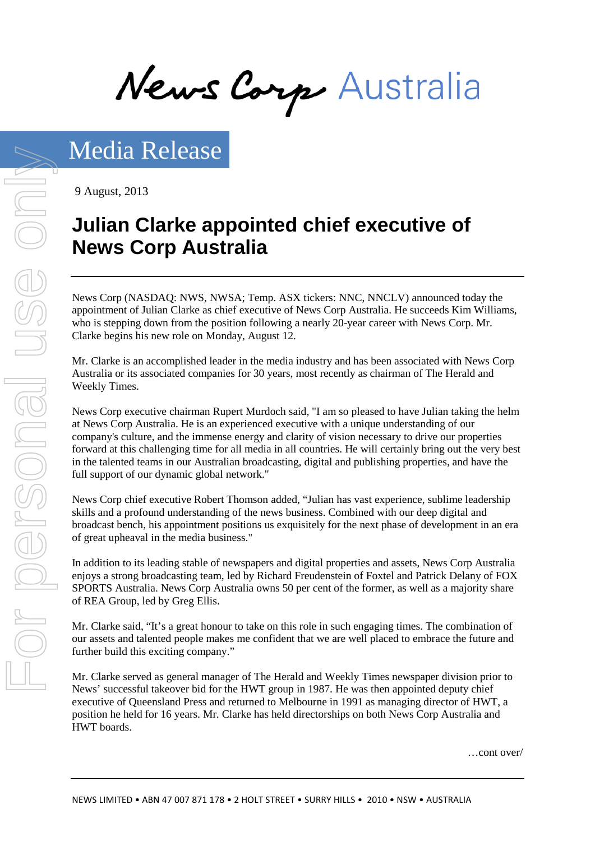News Corp Australia

9 August, 2013

# **Julian Clarke appointed chief executive of News Corp Australia**

News Corp (NASDAQ: NWS, NWSA; Temp. ASX tickers: NNC, NNCLV) announced today the appointment of Julian Clarke as chief executive of News Corp Australia. He succeeds Kim Williams, who is stepping down from the position following a nearly 20-year career with News Corp. Mr. Clarke begins his new role on Monday, August 12.

Mr. Clarke is an accomplished leader in the media industry and has been associated with News Corp Australia or its associated companies for 30 years, most recently as chairman of The Herald and Weekly Times.

News Corp executive chairman Rupert Murdoch said, "I am so pleased to have Julian taking the helm at News Corp Australia. He is an experienced executive with a unique understanding of our company's culture, and the immense energy and clarity of vision necessary to drive our properties forward at this challenging time for all media in all countries. He will certainly bring out the very best in the talented teams in our Australian broadcasting, digital and publishing properties, and have the full support of our dynamic global network."

News Corp chief executive Robert Thomson added, "Julian has vast experience, sublime leadership skills and a profound understanding of the news business. Combined with our deep digital and broadcast bench, his appointment positions us exquisitely for the next phase of development in an era of great upheaval in the media business."

In addition to its leading stable of newspapers and digital properties and assets, News Corp Australia enjoys a strong broadcasting team, led by Richard Freudenstein of Foxtel and Patrick Delany of FOX SPORTS Australia. News Corp Australia owns 50 per cent of the former, as well as a majority share of REA Group, led by Greg Ellis.

Mr. Clarke said, "It's a great honour to take on this role in such engaging times. The combination of our assets and talented people makes me confident that we are well placed to embrace the future and further build this exciting company."

Mr. Clarke served as general manager of The Herald and Weekly Times newspaper division prior to News' successful takeover bid for the HWT group in 1987. He was then appointed deputy chief executive of Queensland Press and returned to Melbourne in 1991 as managing director of HWT, a position he held for 16 years. Mr. Clarke has held directorships on both News Corp Australia and HWT boards.

…cont over/